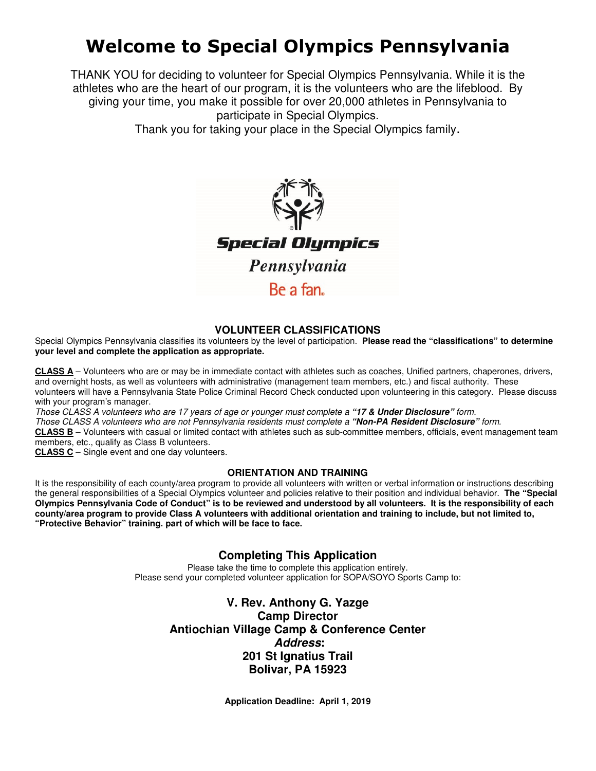# Welcome to Special Olympics Pennsylvania

THANK YOU for deciding to volunteer for Special Olympics Pennsylvania. While it is the athletes who are the heart of our program, it is the volunteers who are the lifeblood. By giving your time, you make it possible for over 20,000 athletes in Pennsylvania to participate in Special Olympics.

Thank you for taking your place in the Special Olympics family.



## **VOLUNTEER CLASSIFICATIONS**

Special Olympics Pennsylvania classifies its volunteers by the level of participation. **Please read the "classifications" to determine your level and complete the application as appropriate.** 

**CLASS A** – Volunteers who are or may be in immediate contact with athletes such as coaches, Unified partners, chaperones, drivers, and overnight hosts, as well as volunteers with administrative (management team members, etc.) and fiscal authority. These volunteers will have a Pennsylvania State Police Criminal Record Check conducted upon volunteering in this category. Please discuss with your program's manager.

Those CLASS A volunteers who are 17 years of age or younger must complete a **"17 & Under Disclosure"** form.

Those CLASS A volunteers who are not Pennsylvania residents must complete a **"Non-PA Resident Disclosure"** form.

**CLASS B** – Volunteers with casual or limited contact with athletes such as sub-committee members, officials, event management team members, etc., qualify as Class B volunteers.

**CLASS C** – Single event and one day volunteers.

## **ORIENTATION AND TRAINING**

It is the responsibility of each county/area program to provide all volunteers with written or verbal information or instructions describing the general responsibilities of a Special Olympics volunteer and policies relative to their position and individual behavior. **The "Special Olympics Pennsylvania Code of Conduct" is to be reviewed and understood by all volunteers. It is the responsibility of each county/area program to provide Class A volunteers with additional orientation and training to include, but not limited to, "Protective Behavior" training. part of which will be face to face.** 

# **Completing This Application**

Please take the time to complete this application entirely. Please send your completed volunteer application for SOPA/SOYO Sports Camp to:

# **V. Rev. Anthony G. Yazge Camp Director Antiochian Village Camp & Conference Center Address: 201 St Ignatius Trail Bolivar, PA 15923**

**Application Deadline: April 1, 2019**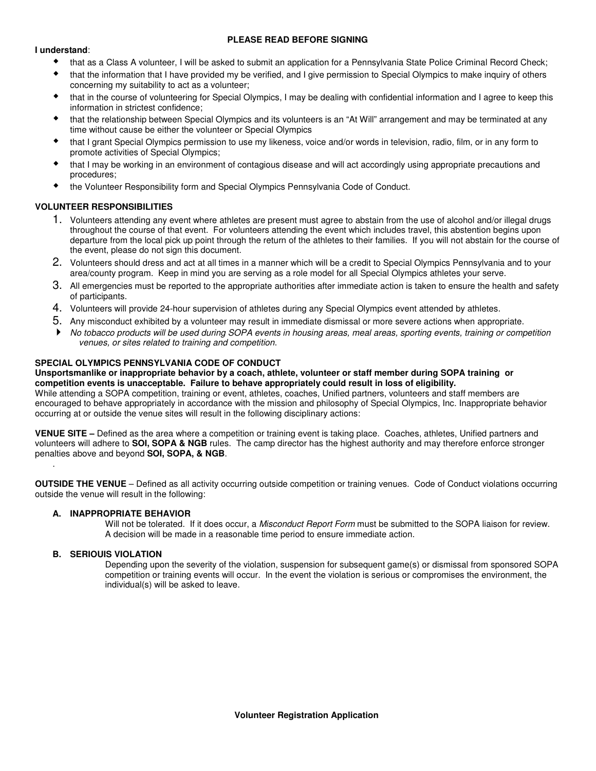#### **PLEASE READ BEFORE SIGNING**

#### **I understand**:

- that as a Class A volunteer, I will be asked to submit an application for a Pennsylvania State Police Criminal Record Check;
- that the information that I have provided my be verified, and I give permission to Special Olympics to make inquiry of others concerning my suitability to act as a volunteer;
- that in the course of volunteering for Special Olympics, I may be dealing with confidential information and I agree to keep this information in strictest confidence;
- that the relationship between Special Olympics and its volunteers is an "At Will" arrangement and may be terminated at any time without cause be either the volunteer or Special Olympics
- that I grant Special Olympics permission to use my likeness, voice and/or words in television, radio, film, or in any form to promote activities of Special Olympics;
- that I may be working in an environment of contagious disease and will act accordingly using appropriate precautions and procedures;
- the Volunteer Responsibility form and Special Olympics Pennsylvania Code of Conduct.

## **VOLUNTEER RESPONSIBILITIES**

- 1. Volunteers attending any event where athletes are present must agree to abstain from the use of alcohol and/or illegal drugs throughout the course of that event. For volunteers attending the event which includes travel, this abstention begins upon departure from the local pick up point through the return of the athletes to their families. If you will not abstain for the course of the event, please do not sign this document.
- 2. Volunteers should dress and act at all times in a manner which will be a credit to Special Olympics Pennsylvania and to your area/county program. Keep in mind you are serving as a role model for all Special Olympics athletes your serve.
- 3. All emergencies must be reported to the appropriate authorities after immediate action is taken to ensure the health and safety of participants.
- 4. Volunteers will provide 24-hour supervision of athletes during any Special Olympics event attended by athletes.
- 5. Any misconduct exhibited by a volunteer may result in immediate dismissal or more severe actions when appropriate.
- No tobacco products will be used during SOPA events in housing areas, meal areas, sporting events, training or competition venues, or sites related to training and competition.

### **SPECIAL OLYMPICS PENNSYLVANIA CODE OF CONDUCT**

#### **Unsportsmanlike or inappropriate behavior by a coach, athlete, volunteer or staff member during SOPA training or competition events is unacceptable. Failure to behave appropriately could result in loss of eligibility.**

While attending a SOPA competition, training or event, athletes, coaches, Unified partners, volunteers and staff members are encouraged to behave appropriately in accordance with the mission and philosophy of Special Olympics, Inc. Inappropriate behavior occurring at or outside the venue sites will result in the following disciplinary actions:

**VENUE SITE –** Defined as the area where a competition or training event is taking place. Coaches, athletes, Unified partners and volunteers will adhere to **SOI, SOPA & NGB** rules. The camp director has the highest authority and may therefore enforce stronger penalties above and beyond **SOI, SOPA, & NGB**.

**OUTSIDE THE VENUE** – Defined as all activity occurring outside competition or training venues. Code of Conduct violations occurring outside the venue will result in the following:

#### **A. INAPPROPRIATE BEHAVIOR**

Will not be tolerated. If it does occur, a Misconduct Report Form must be submitted to the SOPA liaison for review. A decision will be made in a reasonable time period to ensure immediate action.

#### **B. SERIOUIS VIOLATION**

.

 Depending upon the severity of the violation, suspension for subsequent game(s) or dismissal from sponsored SOPA competition or training events will occur. In the event the violation is serious or compromises the environment, the individual(s) will be asked to leave.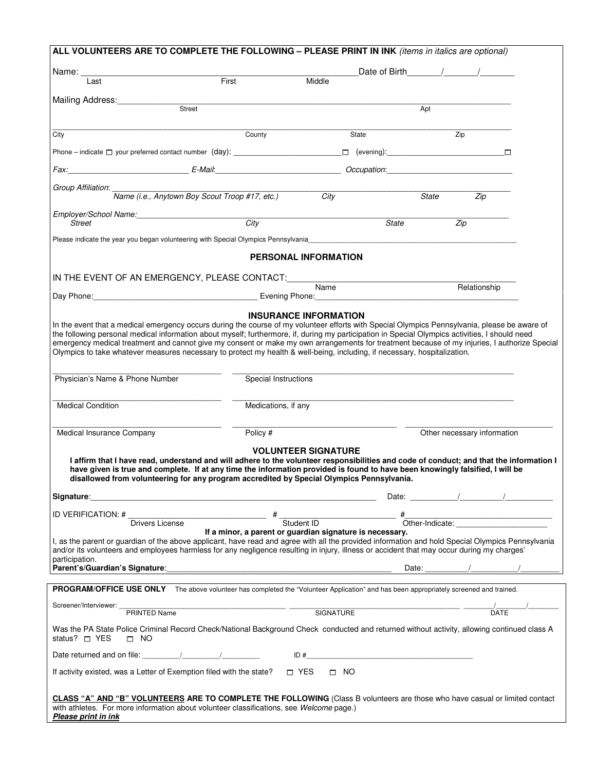|                                 | ALL VOLUNTEERS ARE TO COMPLETE THE FOLLOWING - PLEASE PRINT IN INK (items in italics are optional)                                                                                                                                                                                                                                                                    |                                                                                                                                                                                                                               |                         |                                                          |                             |                                                                       |  |
|---------------------------------|-----------------------------------------------------------------------------------------------------------------------------------------------------------------------------------------------------------------------------------------------------------------------------------------------------------------------------------------------------------------------|-------------------------------------------------------------------------------------------------------------------------------------------------------------------------------------------------------------------------------|-------------------------|----------------------------------------------------------|-----------------------------|-----------------------------------------------------------------------|--|
|                                 |                                                                                                                                                                                                                                                                                                                                                                       |                                                                                                                                                                                                                               |                         | Date of Birth / /                                        |                             |                                                                       |  |
| Last                            | First                                                                                                                                                                                                                                                                                                                                                                 |                                                                                                                                                                                                                               | Middle                  |                                                          |                             |                                                                       |  |
| Mailing Address:                |                                                                                                                                                                                                                                                                                                                                                                       |                                                                                                                                                                                                                               |                         |                                                          |                             |                                                                       |  |
|                                 | Street                                                                                                                                                                                                                                                                                                                                                                |                                                                                                                                                                                                                               |                         |                                                          | Apt                         |                                                                       |  |
| City                            |                                                                                                                                                                                                                                                                                                                                                                       | County                                                                                                                                                                                                                        |                         | State                                                    |                             | Zip                                                                   |  |
|                                 |                                                                                                                                                                                                                                                                                                                                                                       |                                                                                                                                                                                                                               |                         |                                                          |                             |                                                                       |  |
|                                 | Fax: Comparison Comparison Comparison Comparison Comparison Comparison Comparison Comparison Comparison Comparison Comparison Comparison Comparison Comparison Comparison Comparison Comparison Comparison Comparison Comparis                                                                                                                                        |                                                                                                                                                                                                                               |                         |                                                          |                             |                                                                       |  |
| Group Affiliation:              |                                                                                                                                                                                                                                                                                                                                                                       |                                                                                                                                                                                                                               |                         |                                                          |                             |                                                                       |  |
|                                 | Name (i.e., Anytown Boy Scout Troop #17, etc.)                                                                                                                                                                                                                                                                                                                        |                                                                                                                                                                                                                               | $\overline{C}$ ity      |                                                          | State                       | Zip                                                                   |  |
| <b>Street</b>                   | Employer/School Name:<br>San Francisco Name:                                                                                                                                                                                                                                                                                                                          | City                                                                                                                                                                                                                          |                         | State                                                    |                             | Zip                                                                   |  |
|                                 | Please indicate the year you began volunteering with Special Olympics Pennsylvania                                                                                                                                                                                                                                                                                    |                                                                                                                                                                                                                               |                         |                                                          |                             |                                                                       |  |
|                                 |                                                                                                                                                                                                                                                                                                                                                                       |                                                                                                                                                                                                                               |                         |                                                          |                             |                                                                       |  |
|                                 |                                                                                                                                                                                                                                                                                                                                                                       | <b>PERSONAL INFORMATION</b>                                                                                                                                                                                                   |                         |                                                          |                             |                                                                       |  |
|                                 |                                                                                                                                                                                                                                                                                                                                                                       |                                                                                                                                                                                                                               |                         |                                                          |                             | Relationship                                                          |  |
|                                 | Day Phone: <u>Communication of the State Burns of Article</u> Evening Phone:                                                                                                                                                                                                                                                                                          |                                                                                                                                                                                                                               |                         |                                                          |                             |                                                                       |  |
|                                 |                                                                                                                                                                                                                                                                                                                                                                       | <b>INSURANCE INFORMATION</b>                                                                                                                                                                                                  |                         |                                                          |                             |                                                                       |  |
|                                 | In the event that a medical emergency occurs during the course of my volunteer efforts with Special Olympics Pennsylvania, please be aware of<br>the following personal medical information about myself; furthermore, if, during my participation in Special Olympics activities, I should need                                                                      |                                                                                                                                                                                                                               |                         |                                                          |                             |                                                                       |  |
|                                 | emergency medical treatment and cannot give my consent or make my own arrangements for treatment because of my injuries, I authorize Special<br>Olympics to take whatever measures necessary to protect my health & well-being, including, if necessary, hospitalization.                                                                                             |                                                                                                                                                                                                                               |                         |                                                          |                             |                                                                       |  |
| Physician's Name & Phone Number |                                                                                                                                                                                                                                                                                                                                                                       | Special Instructions                                                                                                                                                                                                          |                         |                                                          |                             |                                                                       |  |
| <b>Medical Condition</b>        |                                                                                                                                                                                                                                                                                                                                                                       | Medications, if any                                                                                                                                                                                                           |                         |                                                          |                             |                                                                       |  |
| Medical Insurance Company       |                                                                                                                                                                                                                                                                                                                                                                       | Policy #                                                                                                                                                                                                                      |                         |                                                          | Other necessary information |                                                                       |  |
|                                 |                                                                                                                                                                                                                                                                                                                                                                       | <b>VOLUNTEER SIGNATURE</b>                                                                                                                                                                                                    |                         |                                                          |                             |                                                                       |  |
|                                 | I affirm that I have read, understand and will adhere to the volunteer responsibilities and code of conduct; and that the information I<br>have given is true and complete. If at any time the information provided is found to have been knowingly falsified, I will be<br>disallowed from volunteering for any program accredited by Special Olympics Pennsylvania. |                                                                                                                                                                                                                               |                         |                                                          |                             |                                                                       |  |
|                                 |                                                                                                                                                                                                                                                                                                                                                                       |                                                                                                                                                                                                                               |                         |                                                          |                             | Date: $\qquad \qquad / \qquad \qquad / \qquad \qquad / \qquad \qquad$ |  |
| ID VERIFICATION: #              |                                                                                                                                                                                                                                                                                                                                                                       |                                                                                                                                                                                                                               |                         |                                                          |                             |                                                                       |  |
|                                 | <b>Drivers License</b>                                                                                                                                                                                                                                                                                                                                                |                                                                                                                                                                                                                               | Student ID              |                                                          |                             | "<br>Other-Indicate:                                                  |  |
|                                 | I, as the parent or guardian of the above applicant, have read and agree with all the provided information and hold Special Olympics Pennsylvania                                                                                                                                                                                                                     |                                                                                                                                                                                                                               |                         | If a minor, a parent or guardian signature is necessary. |                             |                                                                       |  |
| participation.                  | and/or its volunteers and employees harmless for any negligence resulting in injury, illness or accident that may occur during my charges'                                                                                                                                                                                                                            |                                                                                                                                                                                                                               |                         |                                                          |                             |                                                                       |  |
| Parent's/Guardian's Signature:  |                                                                                                                                                                                                                                                                                                                                                                       | the control of the control of the control of the control of the control of the control of the control of the control of the control of the control of the control of the control of the control of the control of the control |                         |                                                          | Date:                       |                                                                       |  |
|                                 | PROGRAM/OFFICE USE ONLY The above volunteer has completed the "Volunteer Application" and has been appropriately screened and trained.                                                                                                                                                                                                                                |                                                                                                                                                                                                                               |                         |                                                          |                             |                                                                       |  |
| Screener/Interviewer:           |                                                                                                                                                                                                                                                                                                                                                                       |                                                                                                                                                                                                                               |                         |                                                          |                             |                                                                       |  |
|                                 | PRINTED Name                                                                                                                                                                                                                                                                                                                                                          | SIGNATURE                                                                                                                                                                                                                     |                         |                                                          |                             | <b>DATE</b>                                                           |  |
| status? $\Box$ YES<br>$\Box$ NO | Was the PA State Police Criminal Record Check/National Background Check conducted and returned without activity, allowing continued class A                                                                                                                                                                                                                           |                                                                                                                                                                                                                               |                         |                                                          |                             |                                                                       |  |
|                                 |                                                                                                                                                                                                                                                                                                                                                                       |                                                                                                                                                                                                                               |                         |                                                          |                             |                                                                       |  |
|                                 | If activity existed, was a Letter of Exemption filed with the state?                                                                                                                                                                                                                                                                                                  |                                                                                                                                                                                                                               | $\Box$ YES<br>$\Box$ NO |                                                          |                             |                                                                       |  |
| Please print in ink             | CLASS "A" AND "B" VOLUNTEERS ARE TO COMPLETE THE FOLLOWING (Class B volunteers are those who have casual or limited contact<br>with athletes. For more information about volunteer classifications, see Welcome page.)                                                                                                                                                |                                                                                                                                                                                                                               |                         |                                                          |                             |                                                                       |  |